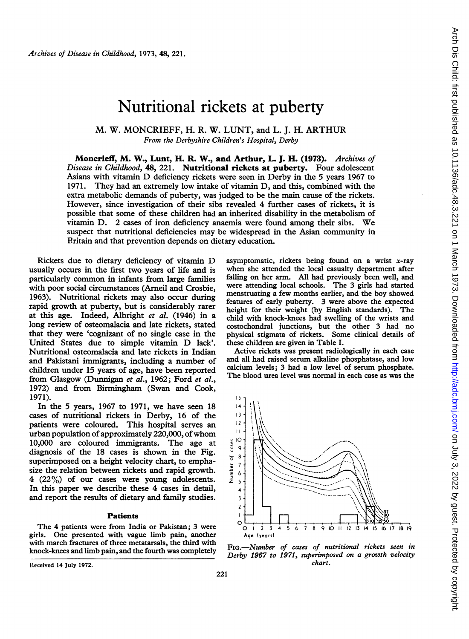# Nutritional rickets at puberty

### M. W. MONCRIEFF, H. R. W. LUNT, and L. J. H. ARTHUR From the Derbyshire Children's Hospital, Derby

Moncrieff, M. W., Lunt, H. R. W., and Arthur, L. J. H. (1973). Archives of Disease in Childhood, 48, 221. Nutritional rickets at puberty. Four adolescent Asians with vitamin D deficiency rickets were seen in Derby in the <sup>5</sup> years <sup>1967</sup> to 1971. They had an extremely low intake of vitamin D, and this, combined with the extra metabolic demands of puberty, was judged to be the main cause of the rickets. However, since investigation of their sibs revealed 4 further cases of rickets, it is possible that some of these children had an inherited disability in the metabolism of vitamin D. <sup>2</sup> cases of iron deficiency anaemia were found among their sibs. We suspect that nutritional deficiencies may be widespread in the Asian community in Britain and that prevention depends on dietary education.

Rickets due to dietary deficiency of vitamin D usually occurs in the first two years of life and is particularly common in infants from large families with poor social circumstances (Arneil and Crosbie, 1963). Nutritional rickets may also occur during rapid growth at puberty, but is considerably rarer at this age. Indeed, Albright et al. (1946) in a long review of osteomalacia and late rickets, stated that they were 'cognizant of no single case in the United States due to simple vitamin D lack'. Nutritional osteomalacia and late rickets in Indian and Pakistani immigrants, including a number of children under 15 years of age, have been reported from Glasgow (Dunnigan et al., 1962; Ford et al., 1972) and from Birmingham (Swan and Cook, 1971).

In the 5 years, 1967 to 1971, we have seen 18 cases of nutritional rickets in Derby, 16 of the patients were coloured. This hospital serves an urban population of approximately 220,000, of whom 10,000 are coloured immigrants. The age at diagnosis of the 18 cases is shown in the Fig. superimposed on a height velocity chart, to emphasize the relation between rickets and rapid growth. 4  $(22\%)$  of our cases were young adolescents. In this paper we describe these 4 cases in detail, and report the results of dietary and family studies.

#### Patients

The 4 patients were from India or Pakistan; 3 were girls. One presented with vague limb pain, another with march fractures of three metatarsals, the third with knock-knees and limb pain, and the fourth was completely

Received 14 July 1972.

asymptomatic, rickets being found on a wrist  $x$ -ray when she attended the local casualty department after falling on her arm. All had previously been well, and were attending local schools. The 3 girls had started menstruating a few months earlier, and the boy showed features of early puberty. 3 were above the expected height for their weight (by English standards). The child with knock-knees had swelling of the wrists and costochondral junctions, but the other 3 had no physical stigmata of rickets. Some clinical details of these children are given in Table I.

Arch Dis Child: first published as 10.11136/adc.48.3.221 on 1 March 1973. Downloaded from http://adc.bmj.com/ on July 3, 2022 by guest. Protected by copyright Arch Dis Child: first published as 10.1136/adc.48.3.221 on 1 March 1973. Downloaded from Lond: Jadc.bmj.com/ on July 3, 2022 by guest. Protected by copyright.

Active rickets was present radiologically in each case and all had raised serum alkaline phosphatase, and low calcium levels; 3 had a low level of serum phosphate. The blood urea level was normal in each case as was the



FIG.-Nwnber of cases of nutritional rickets seen in Derby 1967 to 1971, superimposed on a growth velocity chart.

221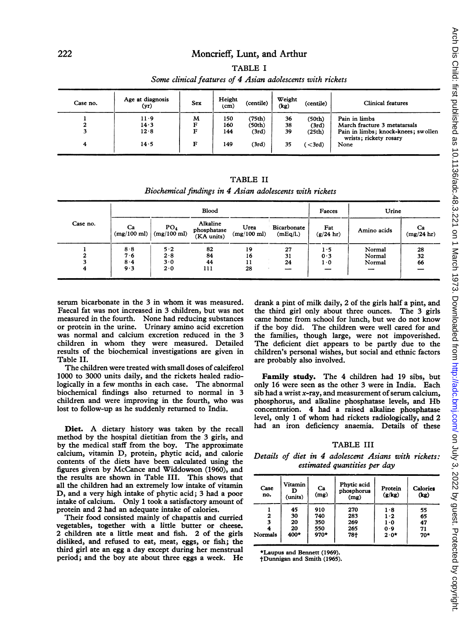## Moncrieff, Lunt, and Arthur TABLE <sup>I</sup>

#### Some clinical features of 4 Asian adolescents with rickets

| Case no. | Age at diagnosis<br>(yr) | Sex | Height<br>(c <sub>m</sub> ) | (centile) | Weight<br>(kg) | (centile)      | Clinical features                                             |
|----------|--------------------------|-----|-----------------------------|-----------|----------------|----------------|---------------------------------------------------------------|
|          | 11.9                     | M   | 150                         | (75th)    | 36             | (50th)         | Pain in limbs                                                 |
| ▵        | 14.3                     |     | 160                         | (50th)    | 38             | (3rd)          | March fracture 3 metatarsals                                  |
|          | 12.8                     | Е   | 144                         | (3rd)     | 39             | (25th)         | Pain in limbs; knock-knees; swollen<br>wrists; rickety rosary |
| 4        | 14.5                     | F   | 149                         | (3rd)     | 35             | $\langle$ 3rd) | None                                                          |

|  |  | <b>TABLE II</b> |  |  |  |
|--|--|-----------------|--|--|--|
|  |  |                 |  |  |  |

Biochemical findings in 4 Asian adolescents with rickets

|          |                             |                                          | <b>Blood</b>                          | Faeces                        | Urine                   |                     |                          |                  |
|----------|-----------------------------|------------------------------------------|---------------------------------------|-------------------------------|-------------------------|---------------------|--------------------------|------------------|
| Case no. | Ca<br>$(mg/100 \text{ ml})$ | PO <sub>4</sub><br>$(mg/100 \text{ ml})$ | Alkaline<br>phosphatase<br>(KA units) | Urea<br>$(mg/100 \text{ ml})$ | Bicarbonate<br>(mEq/l.) | Fat<br>$(g/24)$ hr) | Amino acids              | Ca<br>(mg/24 hr) |
|          | 8.8                         | 5.2                                      | 82                                    | 19                            | 27                      | 1.5                 | Normal                   | 28               |
|          | 7.6                         | 2.8                                      | 84                                    | 16                            | 31                      | 0.3                 | Normal                   | 32               |
|          | 8.4                         | 3.0                                      | 44                                    | 11                            | 24                      | 10                  | Normal                   | 66               |
|          | 9.3                         | 2.0                                      | 111                                   | 28                            | --                      | __                  | $\overline{\phantom{a}}$ |                  |

serum bicarbonate in the 3 in whom it was measured. Faecal fat was not increased in 3 children, but was not measured in the fourth. None had reducing substances or protein in the urine. Urinary amino acid excretion was normal and calcium excretion reduced in the 3 children in whom they were measured. Detailed results of the biochemical investigations are given in Table II.

The children were treated with small doses of calciferol 1000 to 3000 units daily, and the rickets healed radiologically in a few months in each case. The abnormal biochemical findings also returned to normal in 3 children and were improving in the fourth, who was lost to follow-up as he suddenly returned to India.

Diet. A dietary history was taken by the recall method by the hospital dietitian from the 3 girls, and by the medical staff from the boy. The approximate calcium, vitamin D, protein, phytic acid, and calorie contents of the diets have been calculated using the figures given by McCance and Widdowson (1960), and the results are shown in Table III. This shows that all the children had an extremely low intake of vitamin D, and a very high intake of phytic acid; 3 had a poor intake of calcium. Only <sup>1</sup> took a satisfactory amount of protein and 2 had an adequate intake of calories.

Their food consisted mainly of chapattis and curried vegetables, together with a little butter or cheese. 2 children ate a little meat and fish. 2 of the girls disliked, and refused to eat, meat, eggs, or fish; the third girl ate an egg a day except during her menstrual period; and the boy ate about three eggs <sup>a</sup> week. He drank a pint of milk daily, 2 of the girls half a pint, and the third girl only about three ounces. The 3 girls came home from school for lunch, but we do not know if the boy did. The children were well cared for and the families, though large, were not impoverished. The deficient diet appears to be partly due to the children's personal wishes, but social and ethnic factors are probably also involved.

Family study. The 4 children had 19 sibs, but only 16 were seen as the other 3 were in India. Each sib had a wrist  $x$ -ray, and measurement of serum calcium, phosphorus, and alkaline phosphatase levels, and Hb concentration. 4 had a raised alkaline phosphatase level, only <sup>1</sup> of whom had rickets radiologically, and 2 had an iron deficiency anaemia. Details of these

#### TABLE III

Details of diet in 4 adolescent Asians with rickets: estimated quantities per day

| Case<br>no. | Vitamin<br>(units) | Сa<br>(mg) | Phytic acid<br>phosphorus<br>(mg) | Protein<br>(g/kg) | Calories<br>(kg) |
|-------------|--------------------|------------|-----------------------------------|-------------------|------------------|
| 2           | 45                 | 910        | 270                               | 1.8               | 55               |
|             | 30                 | 740        | 283                               | 1.2               | 65               |
| 3           | 20                 | 350        | 269                               | 1.0               | 47               |
| Normals     | 20                 | 550        | 265                               | 0.9               | 71               |
|             | 400*               | 970*       | 78†                               | $2.0*$            | $70*$            |

\*Laupus and Bennett (1969).

tDunnigan and Smith (1965).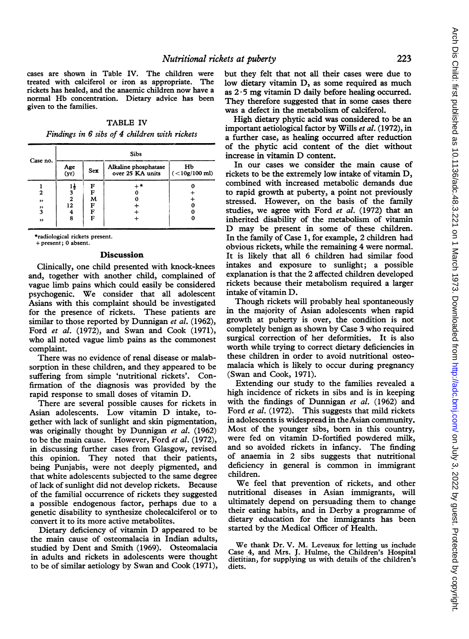cases are shown in Table IV. The children were treated with calciferol or iron as appropriate. The rickets has healed, and the anaemic children now have a normal Hb concentration. Dietary advice has been given to the families.

TABLE IV Findings in 6 sibs of 4 children with rickets

|          | Sibs               |   |                                          |                       |  |  |  |
|----------|--------------------|---|------------------------------------------|-----------------------|--|--|--|
| Case no. | Age<br>(yr)<br>Sex |   | Alkaline phosphatase<br>over 25 KA units | Hb<br>$(<10g/100$ ml) |  |  |  |
|          | 14                 | F | ⊥ *                                      |                       |  |  |  |
| 2        | 3                  | F |                                          |                       |  |  |  |
| ,,       | $\overline{2}$     | м |                                          |                       |  |  |  |
| ,,       | 12                 | F |                                          |                       |  |  |  |
| 3        | 4                  | F |                                          |                       |  |  |  |
| ,,       | 8                  | F |                                          |                       |  |  |  |
|          |                    |   |                                          |                       |  |  |  |

\*radiological rickets present.

#### + present; 0 absent.

#### Discussion

Clinically, one child presented with knock-knees and, together with another child, complained of vague limb pains which could easily be considered psychogenic. We consider that all adolescent Asians with this complaint should be investigated for the presence of rickets. These patients are similar to those reported by Dunnigan et al. (1962), Ford et al. (1972), and Swan and Cook (1971), who all noted vague limb pains as the commonest complaint.

There was no evidence of renal disease or malabsorption in these children, and they appeared to be suffering from simple 'nutritional rickets'. Confirmation of the diagnosis was provided by the rapid response to small doses of vitamin D.

There are several possible causes for rickets in Asian adolescents. Low vitamin D intake, together with lack of sunlight and skin pigmentation, was originally thought by Dunnigan et al. (1962) to be the main cause. However, Ford et al. (1972), in discussing further cases from Glasgow, revised this opinion. They noted that their patients, being Punjabis, were not deeply pigmented, and that white adolescents subjected to the same degree of lack of sunlight did not develop rickets. Because of the familial occurrence of rickets they suggested a possible endogenous factor, perhaps due to a genetic disability to synthesize cholecalciferol or to convert it to its more active metabolites.

Dietary deficiency of vitamin D appeared to be the main cause of osteomalacia in Indian adults, studied by Dent and Smith (1969). Osteomalacia in adults and rickets in adolescents were thought to be of similar aetiology by Swan and Cook (1971),

but they felt that not all their cases were due to low dietary vitamin D, as some required as much as  $2 \cdot 5$  mg vitamin D daily before healing occurred. They therefore suggested that in some cases there was a defect in the metabolism of calciferol.

High dietary phytic acid was considered to be an important aetiological factor by Wills et al. (1972), in a further case, as healing occurred after reduction of the phytic acid content of the diet without increase in vitamin D content.

In our cases we consider the main cause of rickets to be the extremely low intake of vitamin D, combined with increased metabolic demands due to rapid growth at puberty, a point not previously stressed. However, on the basis of the family studies, we agree with Ford et al. (1972) that an inherited disability of the metabolism of vitamin D may be present in some of these children. In the family of Case 1, for example, 2 children had obvious rickets, while the remaining 4 were normal. It is likely that all 6 children had similar food intakes and exposure to sunlight; a possible explanation is that the 2 affected children developed rickets because their metabolism required a larger intake of vitamin D.

Though rickets will probably heal spontaneously in the majority of Asian adolescents when rapid growth at puberty is over, the condition is not completely benign as shown by Case 3 who required surgical correction of her deformities. It is also worth while trying to correct dietary deficiencies in these children in order to avoid nutritional osteomalacia which is likely to occur during pregnancy (Swan and Cook, 1971).

Extending our study to the families revealed a high incidence of rickets in sibs and is in keeping with the findings of Dunnigan et al. (1962) and Ford *et al.* (1972). This suggests that mild rickets in adolescents is widespread in theAsian community. Most of the younger sibs, born in this country, were fed on vitamin D-fortified powdered milk, and so avoided rickets in infancy. The finding of anaemia in 2 sibs suggests that nutritional deficiency in general is common in immigrant children.

We feel that prevention of rickets, and other nutritional diseases in Asian immigrants, will ultimately depend on persuading them to change their eating habits, and in Derby a programme of dietary education for the immigrants has been started by the Medical Officer of Health.

We thank Dr. V. M. Leveaux for letting us include Case 4, and Mrs. J. Hulme, the Children's Hospital dietitian, for supplying us with details of the children's diets.